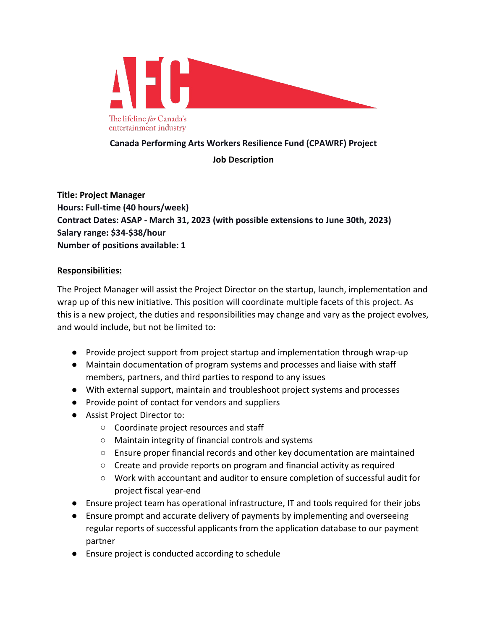

## **Canada Performing Arts Workers Resilience Fund (CPAWRF) Project**

## **Job Description**

**Title: Project Manager Hours: Full-time (40 hours/week) Contract Dates: ASAP - March 31, 2023 (with possible extensions to June 30th, 2023) Salary range: \$34-\$38/hour Number of positions available: 1**

## **Responsibilities:**

The Project Manager will assist the Project Director on the startup, launch, implementation and wrap up of this new initiative. This position will coordinate multiple facets of this project. As this is a new project, the duties and responsibilities may change and vary as the project evolves, and would include, but not be limited to:

- Provide project support from project startup and implementation through wrap-up
- Maintain documentation of program systems and processes and liaise with staff members, partners, and third parties to respond to any issues
- With external support, maintain and troubleshoot project systems and processes
- Provide point of contact for vendors and suppliers
- Assist Project Director to:
	- Coordinate project resources and staff
	- Maintain integrity of financial controls and systems
	- Ensure proper financial records and other key documentation are maintained
	- Create and provide reports on program and financial activity as required
	- Work with accountant and auditor to ensure completion of successful audit for project fiscal year-end
- Ensure project team has operational infrastructure, IT and tools required for their jobs
- Ensure prompt and accurate delivery of payments by implementing and overseeing regular reports of successful applicants from the application database to our payment partner
- Ensure project is conducted according to schedule